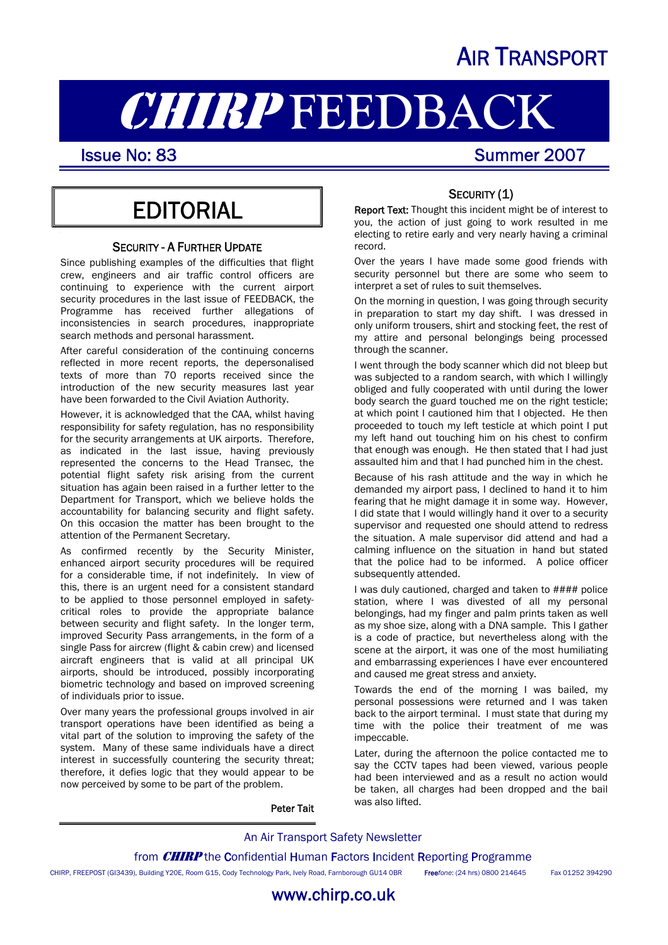## AIR TRANSPORT

# **CHIRP FEEDBACK**<br>Issue No: 83<br>Summer 2007

I

## **EDITORIAL**

#### SECURITY - A FURTHER UPDATE

Since publishing examples of the difficulties that flight crew, engineers and air traffic control officers are continuing to experience with the current airport security procedures in the last issue of FEEDBACK, the Programme has received further allegations of inconsistencies in search procedures, inappropriate search methods and personal harassment.

After careful consideration of the continuing concerns reflected in more recent reports, the depersonalised texts of more than 70 reports received since the introduction of the new security measures last year have been forwarded to the Civil Aviation Authority.

However, it is acknowledged that the CAA, whilst having responsibility for safety regulation, has no responsibility for the security arrangements at UK airports. Therefore, as indicated in the last issue, having previously represented the concerns to the Head Transec, the potential flight safety risk arising from the current situation has again been raised in a further letter to the Department for Transport, which we believe holds the accountability for balancing security and flight safety. On this occasion the matter has been brought to the attention of the Permanent Secretary.

As confirmed recently by the Security Minister, enhanced airport security procedures will be required for a considerable time, if not indefinitely. In view of this, there is an urgent need for a consistent standard to be applied to those personnel employed in safetycritical roles to provide the appropriate balance between security and flight safety. In the longer term, improved Security Pass arrangements, in the form of a single Pass for aircrew (flight & cabin crew) and licensed aircraft engineers that is valid at all principal UK airports, should be introduced, possibly incorporating biometric technology and based on improved screening of individuals prior to issue.

Over many years the professional groups involved in air transport operations have been identified as being a vital part of the solution to improving the safety of the system. Many of these same individuals have a direct interest in successfully countering the security threat; therefore, it defies logic that they would appear to be now perceived by some to be part of the problem.

#### SECURITY (1)

Report Text: Thought this incident might be of interest to you, the action of just going to work resulted in me electing to retire early and very nearly having a criminal record.

Over the years I have made some good friends with security personnel but there are some who seem to interpret a set of rules to suit themselves.

On the morning in question, I was going through security in preparation to start my day shift. I was dressed in only uniform trousers, shirt and stocking feet, the rest of my attire and personal belongings being processed through the scanner.

I went through the body scanner which did not bleep but was subjected to a random search, with which I willingly obliged and fully cooperated with until during the lower body search the guard touched me on the right testicle; at which point I cautioned him that I objected. He then proceeded to touch my left testicle at which point I put my left hand out touching him on his chest to confirm that enough was enough. He then stated that I had just assaulted him and that I had punched him in the chest.

Because of his rash attitude and the way in which he demanded my airport pass, I declined to hand it to him fearing that he might damage it in some way. However, I did state that I would willingly hand it over to a security supervisor and requested one should attend to redress the situation. A male supervisor did attend and had a calming influence on the situation in hand but stated that the police had to be informed. A police officer subsequently attended.

I was duly cautioned, charged and taken to #### police station, where I was divested of all my personal belongings, had my finger and palm prints taken as well as my shoe size, along with a DNA sample. This I gather is a code of practice, but nevertheless along with the scene at the airport, it was one of the most humiliating and embarrassing experiences I have ever encountered and caused me great stress and anxiety.

Towards the end of the morning I was bailed, my personal possessions were returned and I was taken back to the airport terminal. I must state that during my time with the police their treatment of me was impeccable.

Later, during the afternoon the police contacted me to say the CCTV tapes had been viewed, various people had been interviewed and as a result no action would be taken, all charges had been dropped and the bail was also lifted.

Peter Tait

#### An Air Transport Safety Newsletter

from **CHIRP** the Confidential Human Factors Incident Reporting Programme

www.chirp.co.uk

CHIRP, FREEPOST (GI3439), Building Y20E, Room G15, Cody Technology Park, Ively Road, Farnborough GU14 0BR Free*fone*: (24 hrs) 0800 214645 Fax 01252 394290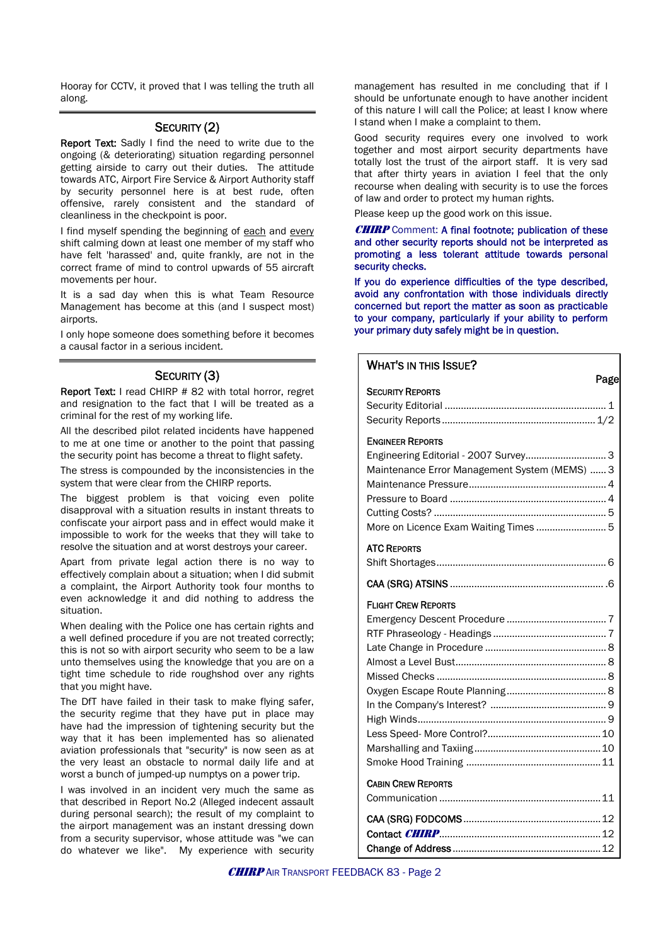Hooray for CCTV, it proved that I was telling the truth all along.

#### SECURITY (2)

Report Text: Sadly I find the need to write due to the ongoing (& deteriorating) situation regarding personnel getting airside to carry out their duties. The attitude towards ATC, Airport Fire Service & Airport Authority staff by security personnel here is at best rude, often offensive, rarely consistent and the standard of cleanliness in the checkpoint is poor.

I find myself spending the beginning of each and every shift calming down at least one member of my staff who have felt 'harassed' and, quite frankly, are not in the correct frame of mind to control upwards of 55 aircraft movements per hour.

It is a sad day when this is what Team Resource Management has become at this (and I suspect most) airports.

I only hope someone does something before it becomes a causal factor in a serious incident.

#### SECURITY (3)

Report Text: I read CHIRP # 82 with total horror, regret and resignation to the fact that I will be treated as a criminal for the rest of my working life.

All the described pilot related incidents have happened to me at one time or another to the point that passing the security point has become a threat to flight safety.

The stress is compounded by the inconsistencies in the system that were clear from the CHIRP reports.

The biggest problem is that voicing even polite disapproval with a situation results in instant threats to confiscate your airport pass and in effect would make it impossible to work for the weeks that they will take to resolve the situation and at worst destroys your career.

Apart from private legal action there is no way to effectively complain about a situation; when I did submit a complaint, the Airport Authority took four months to even acknowledge it and did nothing to address the situation.

When dealing with the Police one has certain rights and a well defined procedure if you are not treated correctly; this is not so with airport security who seem to be a law unto themselves using the knowledge that you are on a tight time schedule to ride roughshod over any rights that you might have.

The DfT have failed in their task to make flying safer, the security regime that they have put in place may have had the impression of tightening security but the way that it has been implemented has so alienated aviation professionals that "security" is now seen as at the very least an obstacle to normal daily life and at worst a bunch of jumped-up numptys on a power trip.

I was involved in an incident very much the same as that described in Report No.2 (Alleged indecent assault during personal search); the result of my complaint to the airport management was an instant dressing down from a security supervisor, whose attitude was "we can do whatever we like". My experience with security

management has resulted in me concluding that if I should be unfortunate enough to have another incident of this nature I will call the Police; at least I know where I stand when I make a complaint to them.

Good security requires every one involved to work together and most airport security departments have totally lost the trust of the airport staff. It is very sad that after thirty years in aviation I feel that the only recourse when dealing with security is to use the forces of law and order to protect my human rights.

Please keep up the good work on this issue.

**CHIRP** Comment: A final footnote: publication of these and other security reports should not be interpreted as promoting a less tolerant attitude towards personal security checks.

If you do experience difficulties of the type described, avoid any confrontation with those individuals directly concerned but report the matter as soon as practicable to your company, particularly if your ability to perform your primary duty safely might be in question.

### WHAT'S IN THIS ISSUE? Page SECURITY REPORTS Security Editorial ............................................................ 1 Security Reports ......................................................... 1/2 ENGINEER REPORTS Engineering Editorial - 2007 Survey.............................. 3 Maintenance Error Management System (MEMS) ...... 3 Maintenance Pressure................................................... 4 Pressure to Board .......................................................... 4 Cutting Costs? ................................................................ 5 More on Licence Exam Waiting Times .......................... 5 ATC REPORTS Shift Shortages............................................................... 6 CAA (SRG) ATSINS ......................................................... .6 FLIGHT CREW REPORTS Emergency Descent Procedure ..................................... 7 RTF Phraseology - Headings .......................................... 7 Late Change in Procedure ............................................. 8 Almost a Level Bust........................................................ 8 Missed Checks ............................................................... 8 Oxygen Escape Route Planning..................................... 8 In the Company's Interest? ........................................... 9 High Winds...................................................................... 9 Less Speed- More Control?..........................................10 Marshalling and Taxiing...............................................10 Smoke Hood Training ..................................................11 CABIN CREW REPORTS Communication ............................................................11 CAA (SRG) FODCOMS...................................................12 Contact CHIRP............................................................12 Change of Address .......................................................12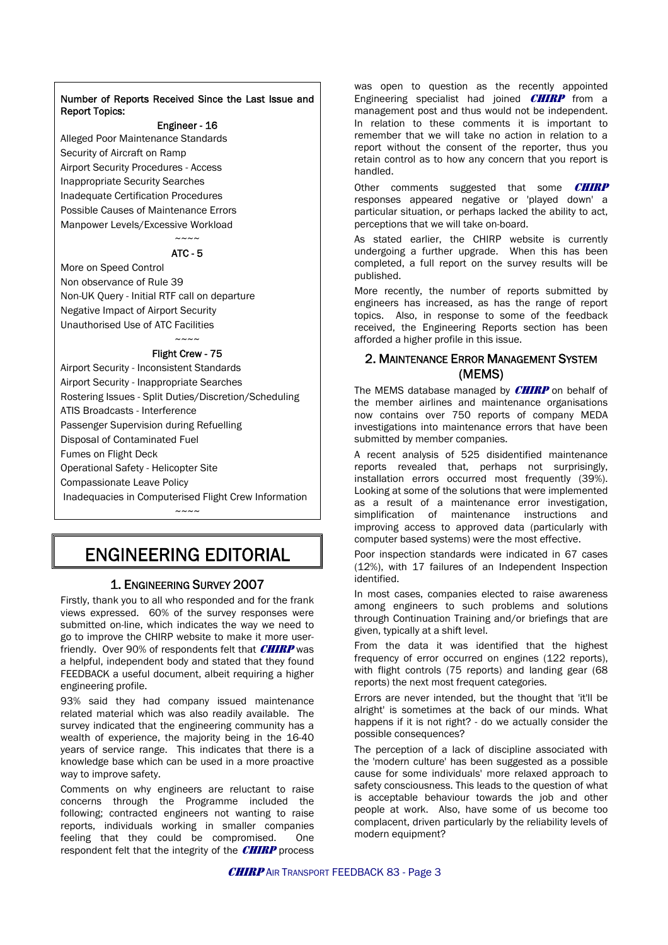#### Number of Reports Received Since the Last Issue and Report Topics:

#### Engineer - 16

Alleged Poor Maintenance Standards Security of Aircraft on Ramp Airport Security Procedures - Access Inappropriate Security Searches Inadequate Certification Procedures Possible Causes of Maintenance Errors Manpower Levels/Excessive Workload

#### $\sim\sim\sim\sim$ ATC - 5

More on Speed Control Non observance of Rule 39 Non-UK Query - Initial RTF call on departure Negative Impact of Airport Security Unauthorised Use of ATC Facilities

#### $\sim\sim\sim\sim$ Flight Crew - 75

Airport Security - Inconsistent Standards Airport Security - Inappropriate Searches Rostering Issues - Split Duties/Discretion/Scheduling ATIS Broadcasts - Interference Passenger Supervision during Refuelling Disposal of Contaminated Fuel Fumes on Flight Deck Operational Safety - Helicopter Site Compassionate Leave Policy Inadequacies in Computerised Flight Crew Information

## ENGINEERING EDITORIAL

*~~~~* 

#### 1. ENGINEERING SURVEY 2007

Firstly, thank you to all who responded and for the frank views expressed. 60% of the survey responses were submitted on-line, which indicates the way we need to go to improve the CHIRP website to make it more userfriendly. Over 90% of respondents felt that  $CHIRP$  was a helpful, independent body and stated that they found FEEDBACK a useful document, albeit requiring a higher engineering profile.

93% said they had company issued maintenance related material which was also readily available. The survey indicated that the engineering community has a wealth of experience, the majority being in the 16-40 years of service range. This indicates that there is a knowledge base which can be used in a more proactive way to improve safety.

Comments on why engineers are reluctant to raise concerns through the Programme included the following; contracted engineers not wanting to raise reports, individuals working in smaller companies feeling that they could be compromised. One respondent felt that the integrity of the  $CIIIRP$  process was open to question as the recently appointed Engineering specialist had joined **CHIRP** from a management post and thus would not be independent. In relation to these comments it is important to remember that we will take no action in relation to a report without the consent of the reporter, thus you retain control as to how any concern that you report is handled.

Other comments suggested that some **CHIRP** responses appeared negative or 'played down' a particular situation, or perhaps lacked the ability to act, perceptions that we will take on-board.

As stated earlier, the CHIRP website is currently undergoing a further upgrade. When this has been completed, a full report on the survey results will be published.

More recently, the number of reports submitted by engineers has increased, as has the range of report topics. Also, in response to some of the feedback received, the Engineering Reports section has been afforded a higher profile in this issue.

#### 2. MAINTENANCE ERROR MANAGEMENT SYSTEM (MEMS)

The MEMS database managed by **CHIRP** on behalf of the member airlines and maintenance organisations now contains over 750 reports of company MEDA investigations into maintenance errors that have been submitted by member companies.

A recent analysis of 525 disidentified maintenance reports revealed that, perhaps not surprisingly, installation errors occurred most frequently (39%). Looking at some of the solutions that were implemented as a result of a maintenance error investigation, simplification of maintenance instructions and improving access to approved data (particularly with computer based systems) were the most effective.

Poor inspection standards were indicated in 67 cases (12%), with 17 failures of an Independent Inspection identified.

In most cases, companies elected to raise awareness among engineers to such problems and solutions through Continuation Training and/or briefings that are given, typically at a shift level.

From the data it was identified that the highest frequency of error occurred on engines (122 reports), with flight controls (75 reports) and landing gear (68 reports) the next most frequent categories.

Errors are never intended, but the thought that 'it'll be alright' is sometimes at the back of our minds. What happens if it is not right? - do we actually consider the possible consequences?

The perception of a lack of discipline associated with the 'modern culture' has been suggested as a possible cause for some individuals' more relaxed approach to safety consciousness. This leads to the question of what is acceptable behaviour towards the job and other people at work. Also, have some of us become too complacent, driven particularly by the reliability levels of modern equipment?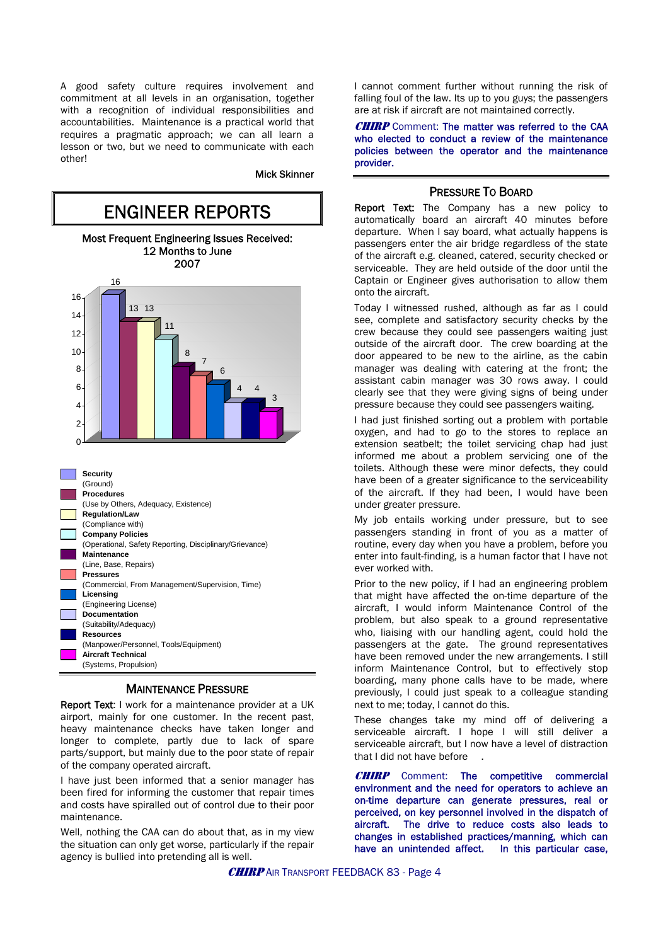A good safety culture requires involvement and commitment at all levels in an organisation, together with a recognition of individual responsibilities and accountabilities. Maintenance is a practical world that requires a pragmatic approach; we can all learn a lesson or two, but we need to communicate with each other!

#### Mick Skinner



#### MAINTENANCE PRESSURE

Report Text: I work for a maintenance provider at a UK airport, mainly for one customer. In the recent past, heavy maintenance checks have taken longer and longer to complete, partly due to lack of spare parts/support, but mainly due to the poor state of repair of the company operated aircraft.

I have just been informed that a senior manager has been fired for informing the customer that repair times and costs have spiralled out of control due to their poor maintenance.

Well, nothing the CAA can do about that, as in my view the situation can only get worse, particularly if the repair agency is bullied into pretending all is well.

I cannot comment further without running the risk of falling foul of the law. Its up to you guys; the passengers are at risk if aircraft are not maintained correctly.

**CHIRP** Comment: The matter was referred to the CAA who elected to conduct a review of the maintenance policies between the operator and the maintenance provider.

#### PRESSURE TO BOARD

Report Text: The Company has a new policy to automatically board an aircraft 40 minutes before departure. When I say board, what actually happens is passengers enter the air bridge regardless of the state of the aircraft e.g. cleaned, catered, security checked or serviceable. They are held outside of the door until the Captain or Engineer gives authorisation to allow them onto the aircraft.

Today I witnessed rushed, although as far as I could see, complete and satisfactory security checks by the crew because they could see passengers waiting just outside of the aircraft door. The crew boarding at the door appeared to be new to the airline, as the cabin manager was dealing with catering at the front; the assistant cabin manager was 30 rows away. I could clearly see that they were giving signs of being under pressure because they could see passengers waiting.

I had just finished sorting out a problem with portable oxygen, and had to go to the stores to replace an extension seatbelt; the toilet servicing chap had just informed me about a problem servicing one of the toilets. Although these were minor defects, they could have been of a greater significance to the serviceability of the aircraft. If they had been, I would have been under greater pressure.

My job entails working under pressure, but to see passengers standing in front of you as a matter of routine, every day when you have a problem, before you enter into fault-finding, is a human factor that I have not ever worked with.

Prior to the new policy, if I had an engineering problem that might have affected the on-time departure of the aircraft, I would inform Maintenance Control of the problem, but also speak to a ground representative who, liaising with our handling agent, could hold the passengers at the gate. The ground representatives have been removed under the new arrangements. I still inform Maintenance Control, but to effectively stop boarding, many phone calls have to be made, where previously, I could just speak to a colleague standing next to me; today, I cannot do this.

These changes take my mind off of delivering a serviceable aircraft. I hope I will still deliver a serviceable aircraft, but I now have a level of distraction that I did not have before

**CHIRP** Comment: The competitive commercial environment and the need for operators to achieve an on-time departure can generate pressures, real or perceived, on key personnel involved in the dispatch of aircraft. The drive to reduce costs also leads to changes in established practices/manning, which can have an unintended affect. In this particular case,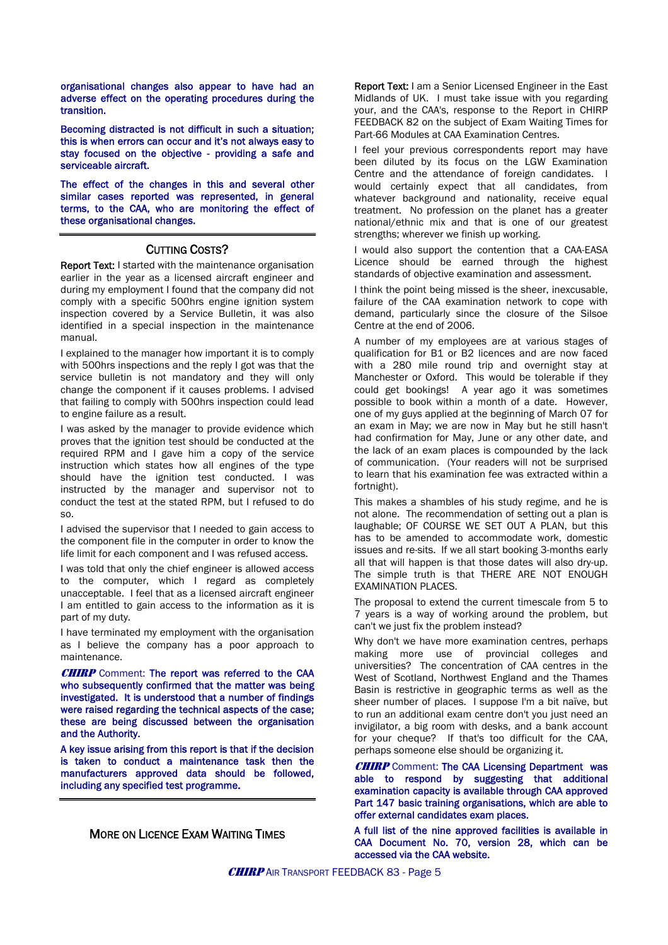organisational changes also appear to have had an adverse effect on the operating procedures during the transition.

Becoming distracted is not difficult in such a situation; this is when errors can occur and it's not always easy to stay focused on the objective - providing a safe and serviceable aircraft.

The effect of the changes in this and several other similar cases reported was represented, in general terms, to the CAA, who are monitoring the effect of these organisational changes.

#### CUTTING COSTS?

Report Text: I started with the maintenance organisation earlier in the year as a licensed aircraft engineer and during my employment I found that the company did not comply with a specific 500hrs engine ignition system inspection covered by a Service Bulletin, it was also identified in a special inspection in the maintenance manual.

I explained to the manager how important it is to comply with 500hrs inspections and the reply I got was that the service bulletin is not mandatory and they will only change the component if it causes problems. I advised that failing to comply with 500hrs inspection could lead to engine failure as a result.

I was asked by the manager to provide evidence which proves that the ignition test should be conducted at the required RPM and I gave him a copy of the service instruction which states how all engines of the type should have the ignition test conducted. I was instructed by the manager and supervisor not to conduct the test at the stated RPM, but I refused to do so.

I advised the supervisor that I needed to gain access to the component file in the computer in order to know the life limit for each component and I was refused access.

I was told that only the chief engineer is allowed access to the computer, which I regard as completely unacceptable. I feel that as a licensed aircraft engineer I am entitled to gain access to the information as it is part of my duty.

I have terminated my employment with the organisation as I believe the company has a poor approach to maintenance.

**CHIRP** Comment: The report was referred to the CAA who subsequently confirmed that the matter was being investigated. It is understood that a number of findings were raised regarding the technical aspects of the case; these are being discussed between the organisation and the Authority.

A key issue arising from this report is that if the decision is taken to conduct a maintenance task then the manufacturers approved data should be followed, including any specified test programme.

#### MORE ON LICENCE EXAM WAITING TIMES

Report Text: I am a Senior Licensed Engineer in the East Midlands of UK. I must take issue with you regarding your, and the CAA's, response to the Report in CHIRP FEEDBACK 82 on the subject of Exam Waiting Times for Part-66 Modules at CAA Examination Centres.

I feel your previous correspondents report may have been diluted by its focus on the LGW Examination Centre and the attendance of foreign candidates. I would certainly expect that all candidates, from whatever background and nationality, receive equal treatment. No profession on the planet has a greater national/ethnic mix and that is one of our greatest strengths; wherever we finish up working.

I would also support the contention that a CAA-EASA Licence should be earned through the highest standards of objective examination and assessment.

I think the point being missed is the sheer, inexcusable, failure of the CAA examination network to cope with demand, particularly since the closure of the Silsoe Centre at the end of 2006.

A number of my employees are at various stages of qualification for B1 or B2 licences and are now faced with a 280 mile round trip and overnight stay at Manchester or Oxford. This would be tolerable if they could get bookings! A year ago it was sometimes possible to book within a month of a date. However, one of my guys applied at the beginning of March 07 for an exam in May; we are now in May but he still hasn't had confirmation for May, June or any other date, and the lack of an exam places is compounded by the lack of communication. (Your readers will not be surprised to learn that his examination fee was extracted within a fortnight).

This makes a shambles of his study regime, and he is not alone. The recommendation of setting out a plan is laughable; OF COURSE WE SET OUT A PLAN, but this has to be amended to accommodate work, domestic issues and re-sits. If we all start booking 3-months early all that will happen is that those dates will also dry-up. The simple truth is that THERE ARE NOT ENOUGH EXAMINATION PLACES.

The proposal to extend the current timescale from 5 to 7 years is a way of working around the problem, but can't we just fix the problem instead?

Why don't we have more examination centres, perhaps making more use of provincial colleges and universities? The concentration of CAA centres in the West of Scotland, Northwest England and the Thames Basin is restrictive in geographic terms as well as the sheer number of places. I suppose I'm a bit naïve, but to run an additional exam centre don't you just need an invigilator, a big room with desks, and a bank account for your cheque? If that's too difficult for the CAA, perhaps someone else should be organizing it.

**CHIRP** Comment: The CAA Licensing Department was able to respond by suggesting that additional examination capacity is available through CAA approved Part 147 basic training organisations, which are able to offer external candidates exam places.

A full list of the nine approved facilities is available in CAA Document No. 70, version 28, which can be accessed via the CAA website.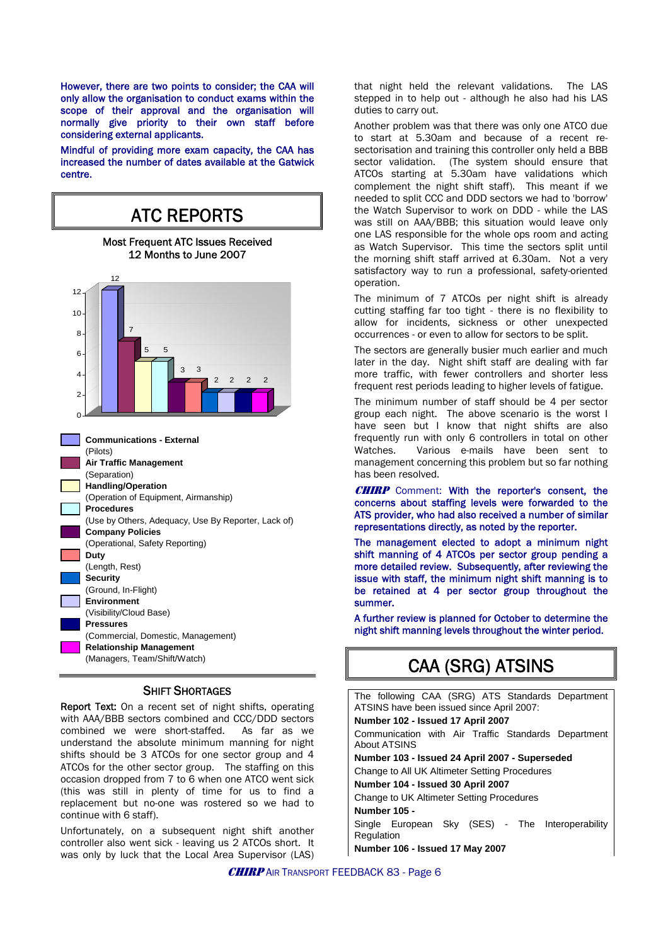However, there are two points to consider; the CAA will only allow the organisation to conduct exams within the scope of their approval and the organisation will normally give priority to their own staff before considering external applicants.

Mindful of providing more exam capacity, the CAA has increased the number of dates available at the Gatwick centre.



#### SHIFT SHORTAGES

Report Text: On a recent set of night shifts, operating with AAA/BBB sectors combined and CCC/DDD sectors combined we were short-staffed. As far as we understand the absolute minimum manning for night shifts should be 3 ATCOs for one sector group and 4 ATCOs for the other sector group. The staffing on this occasion dropped from 7 to 6 when one ATCO went sick (this was still in plenty of time for us to find a replacement but no-one was rostered so we had to continue with 6 staff).

Unfortunately, on a subsequent night shift another controller also went sick - leaving us 2 ATCOs short. It was only by luck that the Local Area Supervisor (LAS) that night held the relevant validations. The LAS stepped in to help out - although he also had his LAS duties to carry out.

Another problem was that there was only one ATCO due to start at 5.30am and because of a recent resectorisation and training this controller only held a BBB sector validation. (The system should ensure that ATCOs starting at 5.30am have validations which complement the night shift staff). This meant if we needed to split CCC and DDD sectors we had to 'borrow' the Watch Supervisor to work on DDD - while the LAS was still on AAA/BBB; this situation would leave only one LAS responsible for the whole ops room and acting as Watch Supervisor. This time the sectors split until the morning shift staff arrived at 6.30am. Not a very satisfactory way to run a professional, safety-oriented operation.

The minimum of 7 ATCOs per night shift is already cutting staffing far too tight - there is no flexibility to allow for incidents, sickness or other unexpected occurrences - or even to allow for sectors to be split.

The sectors are generally busier much earlier and much later in the day. Night shift staff are dealing with far more traffic, with fewer controllers and shorter less frequent rest periods leading to higher levels of fatigue.

The minimum number of staff should be 4 per sector group each night. The above scenario is the worst I have seen but I know that night shifts are also frequently run with only 6 controllers in total on other Watches. Various e-mails have been sent to management concerning this problem but so far nothing has been resolved.

CHIRP Comment: With the reporter's consent, the concerns about staffing levels were forwarded to the ATS provider, who had also received a number of similar representations directly, as noted by the reporter.

The management elected to adopt a minimum night shift manning of 4 ATCOs per sector group pending a more detailed review. Subsequently, after reviewing the issue with staff, the minimum night shift manning is to be retained at 4 per sector group throughout the summer.

A further review is planned for October to determine the night shift manning levels throughout the winter period.

## CAA (SRG) ATSINS

The following CAA (SRG) ATS Standards Department ATSINS have been issued since April 2007: **Number 102 - Issued 17 April 2007**  Communication with Air Traffic Standards Department About ATSINS **Number 103 - Issued 24 April 2007 - Superseded**  Change to All UK Altimeter Setting Procedures **Number 104 - Issued 30 April 2007**  Change to UK Altimeter Setting Procedures **Number 105 -** Single European Sky (SES) - The Interoperability Regulation **Number 106 - Issued 17 May 2007**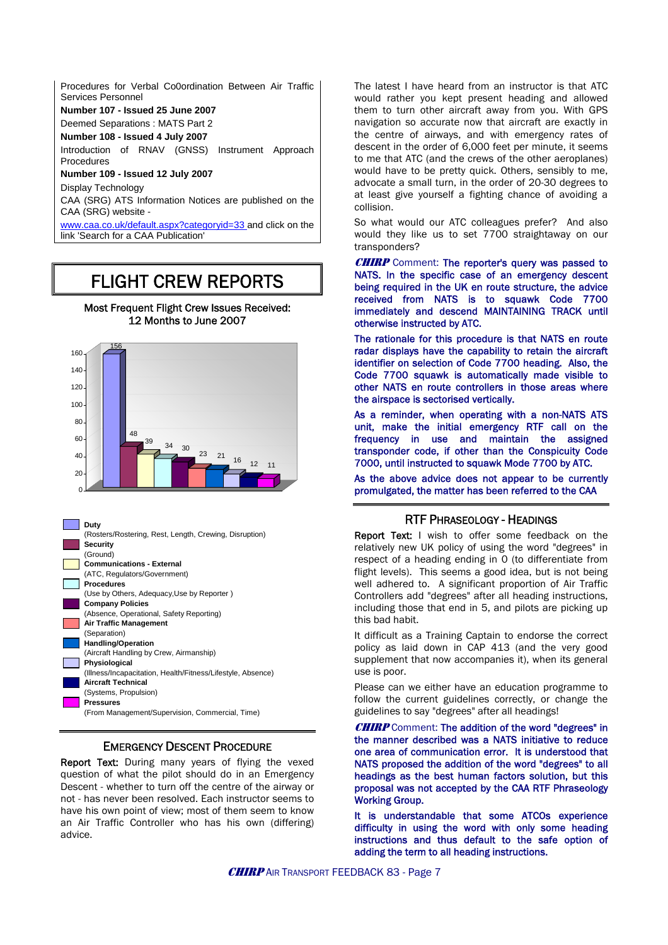Procedures for Verbal Co0ordination Between Air Traffic Services Personnel

**Number 107 - Issued 25 June 2007**

Deemed Separations : MATS Part 2

**Number 108 - Issued 4 July 2007**

Introduction of RNAV (GNSS) Instrument Approach Procedures

**Number 109 - Issued 12 July 2007**

Display Technology

CAA (SRG) ATS Information Notices are published on the CAA (SRG) website -

[www.caa.co.uk/default.aspx?categoryid=33](http://www.caa.co.uk/default.aspx?categoryid=33) and click on the link 'Search for a CAA Publication'

## FLIGHT CREW REPORTS

Most Frequent Flight Crew Issues Received: 12 Months to June 2007





#### EMERGENCY DESCENT PROCEDURE

Report Text: During many years of flying the vexed question of what the pilot should do in an Emergency Descent - whether to turn off the centre of the airway or not - has never been resolved. Each instructor seems to have his own point of view; most of them seem to know an Air Traffic Controller who has his own (differing) advice.

The latest I have heard from an instructor is that ATC would rather you kept present heading and allowed them to turn other aircraft away from you. With GPS navigation so accurate now that aircraft are exactly in the centre of airways, and with emergency rates of descent in the order of 6,000 feet per minute, it seems to me that ATC (and the crews of the other aeroplanes) would have to be pretty quick. Others, sensibly to me, advocate a small turn, in the order of 20-30 degrees to at least give yourself a fighting chance of avoiding a collision.

So what would our ATC colleagues prefer? And also would they like us to set 7700 straightaway on our transponders?

**CHIRP** Comment: The reporter's query was passed to NATS. In the specific case of an emergency descent being required in the UK en route structure, the advice received from NATS is to squawk Code 7700 immediately and descend MAINTAINING TRACK until otherwise instructed by ATC.

The rationale for this procedure is that NATS en route radar displays have the capability to retain the aircraft identifier on selection of Code 7700 heading. Also, the Code 7700 squawk is automatically made visible to other NATS en route controllers in those areas where the airspace is sectorised vertically.

As a reminder, when operating with a non-NATS ATS unit, make the initial emergency RTF call on the frequency in use and maintain the assigned transponder code, if other than the Conspicuity Code 7000, until instructed to squawk Mode 7700 by ATC.

As the above advice does not appear to be currently promulgated, the matter has been referred to the CAA

#### RTF PHRASEOLOGY - HEADINGS

Report Text: I wish to offer some feedback on the relatively new UK policy of using the word "degrees" in respect of a heading ending in 0 (to differentiate from flight levels). This seems a good idea, but is not being well adhered to. A significant proportion of Air Traffic Controllers add "degrees" after all heading instructions, including those that end in 5, and pilots are picking up this bad habit.

It difficult as a Training Captain to endorse the correct policy as laid down in CAP 413 (and the very good supplement that now accompanies it), when its general use is poor.

Please can we either have an education programme to follow the current guidelines correctly, or change the guidelines to say "degrees" after all headings!

**CHIRP** Comment: The addition of the word "degrees" in the manner described was a NATS initiative to reduce one area of communication error. It is understood that NATS proposed the addition of the word "degrees" to all headings as the best human factors solution, but this proposal was not accepted by the CAA RTF Phraseology Working Group.

It is understandable that some ATCOs experience difficulty in using the word with only some heading instructions and thus default to the safe option of adding the term to all heading instructions.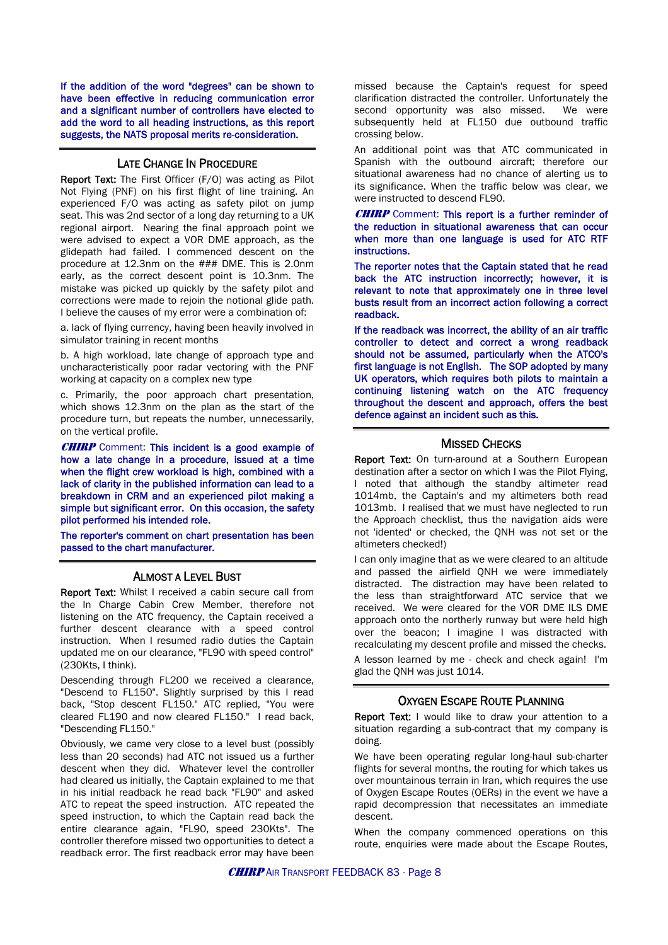If the addition of the word "degrees" can be shown to have been effective in reducing communication error and a significant number of controllers have elected to add the word to all heading instructions, as this report suggests, the NATS proposal merits re-consideration.

#### LATE CHANGE IN PROCEDURE

Report Text: The First Officer (F/O) was acting as Pilot Not Flying (PNF) on his first flight of line training. An experienced F/O was acting as safety pilot on jump seat. This was 2nd sector of a long day returning to a UK regional airport. Nearing the final approach point we were advised to expect a VOR DME approach, as the glidepath had failed. I commenced descent on the procedure at 12.3nm on the ### DME. This is 2.0nm early, as the correct descent point is 10.3nm. The mistake was picked up quickly by the safety pilot and corrections were made to rejoin the notional glide path. I believe the causes of my error were a combination of:

a. lack of flying currency, having been heavily involved in simulator training in recent months

b. A high workload, late change of approach type and uncharacteristically poor radar vectoring with the PNF working at capacity on a complex new type

c. Primarily, the poor approach chart presentation, which shows 12.3nm on the plan as the start of the procedure turn, but repeats the number, unnecessarily, on the vertical profile.

**CHIRP** Comment: This incident is a good example of how a late change in a procedure, issued at a time when the flight crew workload is high, combined with a lack of clarity in the published information can lead to a breakdown in CRM and an experienced pilot making a simple but significant error. On this occasion, the safety pilot performed his intended role.

The reporter's comment on chart presentation has been passed to the chart manufacturer.

#### ALMOST A LEVEL BUST

Report Text: Whilst I received a cabin secure call from the In Charge Cabin Crew Member, therefore not listening on the ATC frequency, the Captain received a further descent clearance with a speed control instruction. When I resumed radio duties the Captain updated me on our clearance, "FL90 with speed control" (230Kts, I think).

Descending through FL200 we received a clearance, "Descend to FL150". Slightly surprised by this I read back, "Stop descent FL150." ATC replied, "You were cleared FL190 and now cleared FL150." I read back, "Descending FL150."

Obviously, we came very close to a level bust (possibly less than 20 seconds) had ATC not issued us a further descent when they did. Whatever level the controller had cleared us initially, the Captain explained to me that in his initial readback he read back "FL90" and asked ATC to repeat the speed instruction. ATC repeated the speed instruction, to which the Captain read back the entire clearance again, "FL90, speed 230Kts". The controller therefore missed two opportunities to detect a readback error. The first readback error may have been missed because the Captain's request for speed clarification distracted the controller. Unfortunately the second opportunity was also missed. We were subsequently held at FL150 due outbound traffic crossing below.

An additional point was that ATC communicated in Spanish with the outbound aircraft; therefore our situational awareness had no chance of alerting us to its significance. When the traffic below was clear, we were instructed to descend FL90.

**CHIRP** Comment: This report is a further reminder of the reduction in situational awareness that can occur when more than one language is used for ATC RTF instructions.

The reporter notes that the Captain stated that he read back the ATC instruction incorrectly; however, it is relevant to note that approximately one in three level busts result from an incorrect action following a correct readback.

If the readback was incorrect, the ability of an air traffic controller to detect and correct a wrong readback should not be assumed, particularly when the ATCO's first language is not English. The SOP adopted by many UK operators, which requires both pilots to maintain a continuing listening watch on the ATC frequency throughout the descent and approach, offers the best defence against an incident such as this.

#### MISSED CHECKS

Report Text: On turn-around at a Southern European destination after a sector on which I was the Pilot Flying, I noted that although the standby altimeter read 1014mb, the Captain's and my altimeters both read 1013mb. I realised that we must have neglected to run the Approach checklist, thus the navigation aids were not 'idented' or checked, the QNH was not set or the altimeters checked!)

I can only imagine that as we were cleared to an altitude and passed the airfield QNH we were immediately distracted. The distraction may have been related to the less than straightforward ATC service that we received. We were cleared for the VOR DME ILS DME approach onto the northerly runway but were held high over the beacon; I imagine I was distracted with recalculating my descent profile and missed the checks.

A lesson learned by me - check and check again! I'm glad the QNH was just 1014.

#### OXYGEN ESCAPE ROUTE PLANNING

Report Text: I would like to draw your attention to a situation regarding a sub-contract that my company is doing.

We have been operating regular long-haul sub-charter flights for several months, the routing for which takes us over mountainous terrain in Iran, which requires the use of Oxygen Escape Routes (OERs) in the event we have a rapid decompression that necessitates an immediate descent.

When the company commenced operations on this route, enquiries were made about the Escape Routes.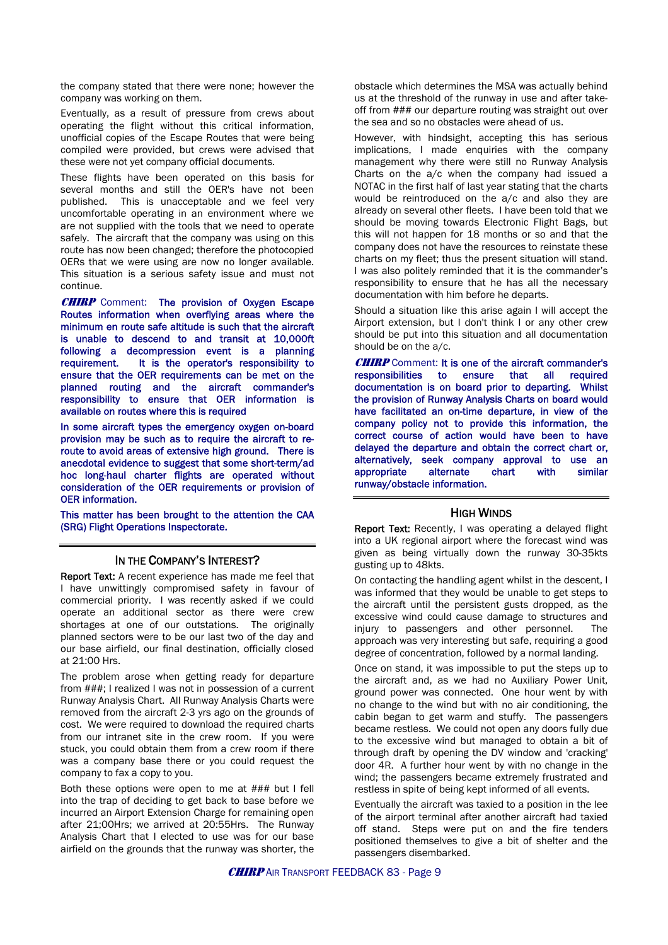the company stated that there were none; however the company was working on them.

Eventually, as a result of pressure from crews about operating the flight without this critical information, unofficial copies of the Escape Routes that were being compiled were provided, but crews were advised that these were not yet company official documents.

These flights have been operated on this basis for several months and still the OER's have not been published. This is unacceptable and we feel very uncomfortable operating in an environment where we are not supplied with the tools that we need to operate safely. The aircraft that the company was using on this route has now been changed; therefore the photocopied OERs that we were using are now no longer available. This situation is a serious safety issue and must not continue.

**CHIRP** Comment: The provision of Oxygen Escape Routes information when overflying areas where the minimum en route safe altitude is such that the aircraft is unable to descend to and transit at 10,000ft following a decompression event is a planning requirement. It is the operator's responsibility to ensure that the OER requirements can be met on the planned routing and the aircraft commander's responsibility to ensure that OER information is available on routes where this is required

In some aircraft types the emergency oxygen on-board provision may be such as to require the aircraft to reroute to avoid areas of extensive high ground. There is anecdotal evidence to suggest that some short-term/ad hoc long-haul charter flights are operated without consideration of the OER requirements or provision of OER information.

This matter has been brought to the attention the CAA (SRG) Flight Operations Inspectorate.

#### IN THE COMPANY'S INTEREST?

Report Text: A recent experience has made me feel that I have unwittingly compromised safety in favour of commercial priority. I was recently asked if we could operate an additional sector as there were crew shortages at one of our outstations. The originally planned sectors were to be our last two of the day and our base airfield, our final destination, officially closed at 21:00 Hrs.

The problem arose when getting ready for departure from ###; I realized I was not in possession of a current Runway Analysis Chart. All Runway Analysis Charts were removed from the aircraft 2-3 yrs ago on the grounds of cost. We were required to download the required charts from our intranet site in the crew room. If you were stuck, you could obtain them from a crew room if there was a company base there or you could request the company to fax a copy to you.

Both these options were open to me at ### but I fell into the trap of deciding to get back to base before we incurred an Airport Extension Charge for remaining open after 21;00Hrs; we arrived at 20:55Hrs. The Runway Analysis Chart that I elected to use was for our base airfield on the grounds that the runway was shorter, the obstacle which determines the MSA was actually behind us at the threshold of the runway in use and after takeoff from ### our departure routing was straight out over the sea and so no obstacles were ahead of us.

However, with hindsight, accepting this has serious implications, I made enquiries with the company management why there were still no Runway Analysis Charts on the a/c when the company had issued a NOTAC in the first half of last year stating that the charts would be reintroduced on the a/c and also they are already on several other fleets. I have been told that we should be moving towards Electronic Flight Bags, but this will not happen for 18 months or so and that the company does not have the resources to reinstate these charts on my fleet; thus the present situation will stand. I was also politely reminded that it is the commander's responsibility to ensure that he has all the necessary documentation with him before he departs.

Should a situation like this arise again I will accept the Airport extension, but I don't think I or any other crew should be put into this situation and all documentation should be on the a/c.

**CHIRP** Comment: It is one of the aircraft commander's responsibilities to ensure that all required documentation is on board prior to departing. Whilst the provision of Runway Analysis Charts on board would have facilitated an on-time departure, in view of the company policy not to provide this information, the correct course of action would have been to have delayed the departure and obtain the correct chart or, alternatively, seek company approval to use an appropriate alternate chart with similar runway/obstacle information.

#### HIGH WINDS

Report Text: Recently, I was operating a delayed flight into a UK regional airport where the forecast wind was given as being virtually down the runway 30-35kts gusting up to 48kts.

On contacting the handling agent whilst in the descent, I was informed that they would be unable to get steps to the aircraft until the persistent gusts dropped, as the excessive wind could cause damage to structures and injury to passengers and other personnel. The approach was very interesting but safe, requiring a good degree of concentration, followed by a normal landing.

Once on stand, it was impossible to put the steps up to the aircraft and, as we had no Auxiliary Power Unit, ground power was connected. One hour went by with no change to the wind but with no air conditioning, the cabin began to get warm and stuffy. The passengers became restless. We could not open any doors fully due to the excessive wind but managed to obtain a bit of through draft by opening the DV window and 'cracking' door 4R. A further hour went by with no change in the wind; the passengers became extremely frustrated and restless in spite of being kept informed of all events.

Eventually the aircraft was taxied to a position in the lee of the airport terminal after another aircraft had taxied off stand. Steps were put on and the fire tenders positioned themselves to give a bit of shelter and the passengers disembarked.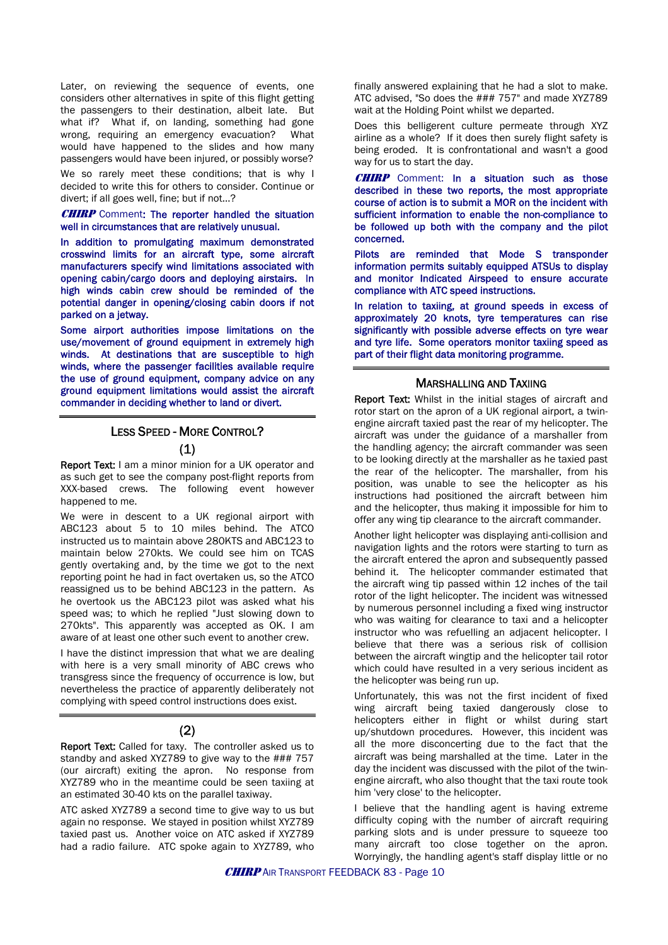Later, on reviewing the sequence of events, one considers other alternatives in spite of this flight getting the passengers to their destination, albeit late. But what if? What if, on landing, something had gone wrong, requiring an emergency evacuation? What would have happened to the slides and how many passengers would have been injured, or possibly worse?

We so rarely meet these conditions; that is why I decided to write this for others to consider. Continue or divert; if all goes well, fine; but if not...?

#### **CHIRP** Comment: The reporter handled the situation well in circumstances that are relatively unusual.

In addition to promulgating maximum demonstrated crosswind limits for an aircraft type, some aircraft manufacturers specify wind limitations associated with opening cabin/cargo doors and deploying airstairs. In high winds cabin crew should be reminded of the potential danger in opening/closing cabin doors if not parked on a jetway.

Some airport authorities impose limitations on the use/movement of ground equipment in extremely high winds. At destinations that are susceptible to high winds, where the passenger facilities available require the use of ground equipment, company advice on any ground equipment limitations would assist the aircraft commander in deciding whether to land or divert.

## LESS SPEED - MORE CONTROL?

#### (1)

Report Text: I am a minor minion for a UK operator and as such get to see the company post-flight reports from XXX-based crews. The following event however happened to me.

We were in descent to a UK regional airport with ABC123 about 5 to 10 miles behind. The ATCO instructed us to maintain above 280KTS and ABC123 to maintain below 270kts. We could see him on TCAS gently overtaking and, by the time we got to the next reporting point he had in fact overtaken us, so the ATCO reassigned us to be behind ABC123 in the pattern. As he overtook us the ABC123 pilot was asked what his speed was; to which he replied "Just slowing down to 270kts". This apparently was accepted as OK. I am aware of at least one other such event to another crew.

I have the distinct impression that what we are dealing with here is a very small minority of ABC crews who transgress since the frequency of occurrence is low, but nevertheless the practice of apparently deliberately not complying with speed control instructions does exist.

#### (2)

Report Text: Called for taxy. The controller asked us to standby and asked XYZ789 to give way to the ### 757 (our aircraft) exiting the apron. No response from XYZ789 who in the meantime could be seen taxiing at an estimated 30-40 kts on the parallel taxiway.

ATC asked XYZ789 a second time to give way to us but again no response. We stayed in position whilst XYZ789 taxied past us. Another voice on ATC asked if XYZ789 had a radio failure. ATC spoke again to XYZ789, who finally answered explaining that he had a slot to make. ATC advised, "So does the ### 757" and made XYZ789 wait at the Holding Point whilst we departed.

Does this belligerent culture permeate through XYZ airline as a whole? If it does then surely flight safety is being eroded. It is confrontational and wasn't a good way for us to start the day.

**CHIRP** Comment: In a situation such as those described in these two reports, the most appropriate course of action is to submit a MOR on the incident with sufficient information to enable the non-compliance to be followed up both with the company and the pilot concerned.

Pilots are reminded that Mode S transponder information permits suitably equipped ATSUs to display and monitor Indicated Airspeed to ensure accurate compliance with ATC speed instructions.

In relation to taxiing, at ground speeds in excess of approximately 20 knots, tyre temperatures can rise significantly with possible adverse effects on tyre wear and tyre life. Some operators monitor taxiing speed as part of their flight data monitoring programme.

#### MARSHALLING AND TAXIING

Report Text: Whilst in the initial stages of aircraft and rotor start on the apron of a UK regional airport, a twinengine aircraft taxied past the rear of my helicopter. The aircraft was under the guidance of a marshaller from the handling agency; the aircraft commander was seen to be looking directly at the marshaller as he taxied past the rear of the helicopter. The marshaller, from his position, was unable to see the helicopter as his instructions had positioned the aircraft between him and the helicopter, thus making it impossible for him to offer any wing tip clearance to the aircraft commander.

Another light helicopter was displaying anti-collision and navigation lights and the rotors were starting to turn as the aircraft entered the apron and subsequently passed behind it. The helicopter commander estimated that the aircraft wing tip passed within 12 inches of the tail rotor of the light helicopter. The incident was witnessed by numerous personnel including a fixed wing instructor who was waiting for clearance to taxi and a helicopter instructor who was refuelling an adjacent helicopter. I believe that there was a serious risk of collision between the aircraft wingtip and the helicopter tail rotor which could have resulted in a very serious incident as the helicopter was being run up.

Unfortunately, this was not the first incident of fixed wing aircraft being taxied dangerously close to helicopters either in flight or whilst during start up/shutdown procedures. However, this incident was all the more disconcerting due to the fact that the aircraft was being marshalled at the time. Later in the day the incident was discussed with the pilot of the twinengine aircraft, who also thought that the taxi route took him 'very close' to the helicopter.

I believe that the handling agent is having extreme difficulty coping with the number of aircraft requiring parking slots and is under pressure to squeeze too many aircraft too close together on the apron. Worryingly, the handling agent's staff display little or no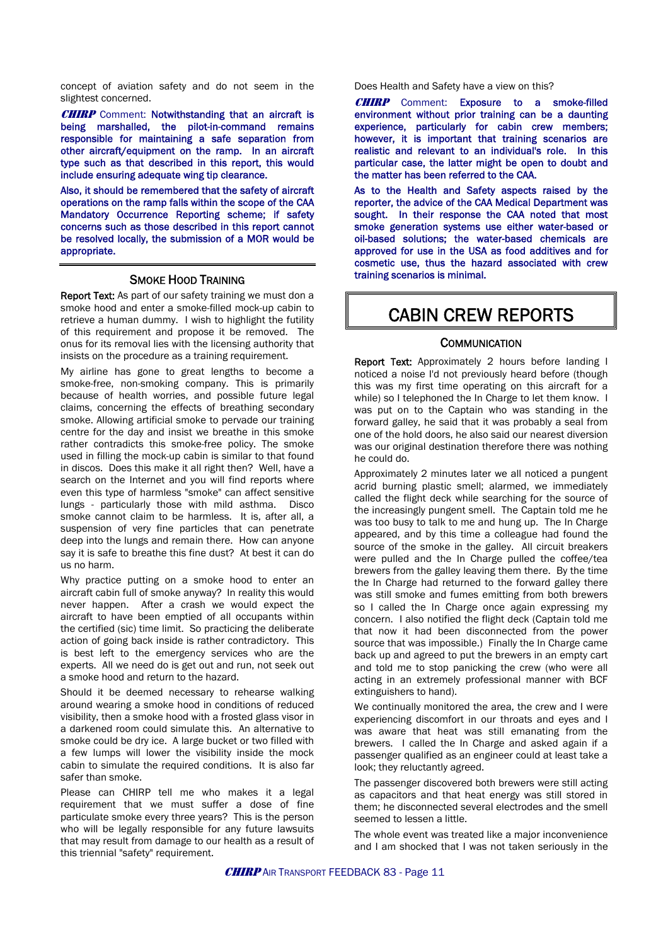concept of aviation safety and do not seem in the slightest concerned.

**CHIRP** Comment: Notwithstanding that an aircraft is being marshalled, the pilot-in-command remains responsible for maintaining a safe separation from other aircraft/equipment on the ramp. In an aircraft type such as that described in this report, this would include ensuring adequate wing tip clearance.

Also, it should be remembered that the safety of aircraft operations on the ramp falls within the scope of the CAA Mandatory Occurrence Reporting scheme; if safety concerns such as those described in this report cannot be resolved locally, the submission of a MOR would be appropriate.

#### SMOKE HOOD TRAINING

Report Text: As part of our safety training we must don a smoke hood and enter a smoke-filled mock-up cabin to retrieve a human dummy. I wish to highlight the futility of this requirement and propose it be removed. The onus for its removal lies with the licensing authority that insists on the procedure as a training requirement.

My airline has gone to great lengths to become a smoke-free, non-smoking company. This is primarily because of health worries, and possible future legal claims, concerning the effects of breathing secondary smoke. Allowing artificial smoke to pervade our training centre for the day and insist we breathe in this smoke rather contradicts this smoke-free policy. The smoke used in filling the mock-up cabin is similar to that found in discos. Does this make it all right then? Well, have a search on the Internet and you will find reports where even this type of harmless "smoke" can affect sensitive lungs - particularly those with mild asthma. Disco smoke cannot claim to be harmless. It is, after all, a suspension of very fine particles that can penetrate deep into the lungs and remain there. How can anyone say it is safe to breathe this fine dust? At best it can do us no harm.

Why practice putting on a smoke hood to enter an aircraft cabin full of smoke anyway? In reality this would never happen. After a crash we would expect the aircraft to have been emptied of all occupants within the certified (sic) time limit. So practicing the deliberate action of going back inside is rather contradictory. This is best left to the emergency services who are the experts. All we need do is get out and run, not seek out a smoke hood and return to the hazard.

Should it be deemed necessary to rehearse walking around wearing a smoke hood in conditions of reduced visibility, then a smoke hood with a frosted glass visor in a darkened room could simulate this. An alternative to smoke could be dry ice. A large bucket or two filled with a few lumps will lower the visibility inside the mock cabin to simulate the required conditions. It is also far safer than smoke.

Please can CHIRP tell me who makes it a legal requirement that we must suffer a dose of fine particulate smoke every three years? This is the person who will be legally responsible for any future lawsuits that may result from damage to our health as a result of this triennial "safety" requirement.

Does Health and Safety have a view on this?

**CHIRP** Comment: Exposure to a smoke-filled environment without prior training can be a daunting experience, particularly for cabin crew members; however, it is important that training scenarios are realistic and relevant to an individual's role. In this particular case, the latter might be open to doubt and the matter has been referred to the CAA.

As to the Health and Safety aspects raised by the reporter, the advice of the CAA Medical Department was sought. In their response the CAA noted that most smoke generation systems use either water-based or oil-based solutions; the water-based chemicals are approved for use in the USA as food additives and for cosmetic use, thus the hazard associated with crew training scenarios is minimal.

## CABIN CREW REPORTS

#### **COMMUNICATION**

Report Text: Approximately 2 hours before landing I noticed a noise I'd not previously heard before (though this was my first time operating on this aircraft for a while) so I telephoned the In Charge to let them know. I was put on to the Captain who was standing in the forward galley, he said that it was probably a seal from one of the hold doors, he also said our nearest diversion was our original destination therefore there was nothing he could do.

Approximately 2 minutes later we all noticed a pungent acrid burning plastic smell; alarmed, we immediately called the flight deck while searching for the source of the increasingly pungent smell. The Captain told me he was too busy to talk to me and hung up. The In Charge appeared, and by this time a colleague had found the source of the smoke in the galley. All circuit breakers were pulled and the In Charge pulled the coffee/tea brewers from the galley leaving them there. By the time the In Charge had returned to the forward galley there was still smoke and fumes emitting from both brewers so I called the In Charge once again expressing my concern. I also notified the flight deck (Captain told me that now it had been disconnected from the power source that was impossible.) Finally the In Charge came back up and agreed to put the brewers in an empty cart and told me to stop panicking the crew (who were all acting in an extremely professional manner with BCF extinguishers to hand).

We continually monitored the area, the crew and I were experiencing discomfort in our throats and eyes and I was aware that heat was still emanating from the brewers. I called the In Charge and asked again if a passenger qualified as an engineer could at least take a look; they reluctantly agreed.

The passenger discovered both brewers were still acting as capacitors and that heat energy was still stored in them; he disconnected several electrodes and the smell seemed to lessen a little.

The whole event was treated like a major inconvenience and I am shocked that I was not taken seriously in the